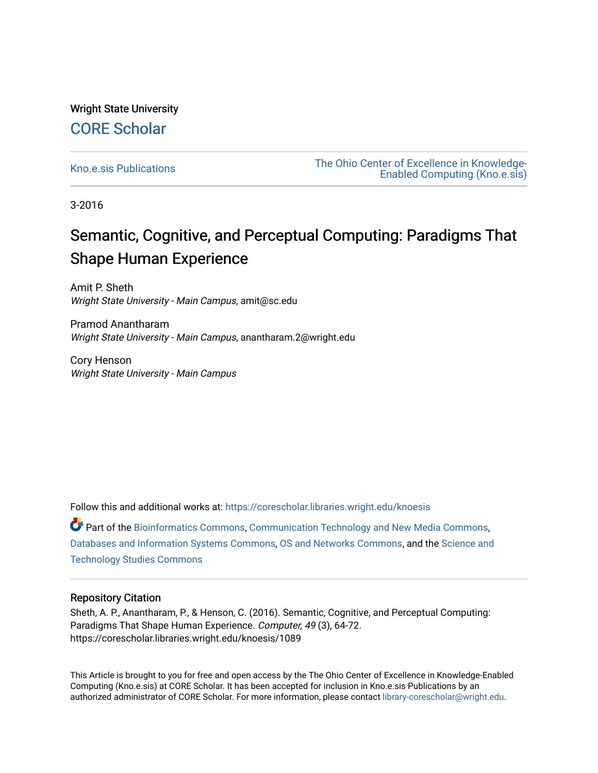Wright State University [CORE Scholar](https://corescholar.libraries.wright.edu/)

[Kno.e.sis Publications](https://corescholar.libraries.wright.edu/knoesis) [The Ohio Center of Excellence in Knowledge-](https://corescholar.libraries.wright.edu/knoesis_comm)[Enabled Computing \(Kno.e.sis\)](https://corescholar.libraries.wright.edu/knoesis_comm) 

3-2016

# Semantic, Cognitive, and Perceptual Computing: Paradigms That Shape Human Experience

Amit P. Sheth Wright State University - Main Campus, amit@sc.edu

Pramod Anantharam Wright State University - Main Campus, anantharam.2@wright.edu

Cory Henson Wright State University - Main Campus

Follow this and additional works at: [https://corescholar.libraries.wright.edu/knoesis](https://corescholar.libraries.wright.edu/knoesis?utm_source=corescholar.libraries.wright.edu%2Fknoesis%2F1089&utm_medium=PDF&utm_campaign=PDFCoverPages)  Part of the [Bioinformatics Commons,](http://network.bepress.com/hgg/discipline/110?utm_source=corescholar.libraries.wright.edu%2Fknoesis%2F1089&utm_medium=PDF&utm_campaign=PDFCoverPages) [Communication Technology and New Media Commons,](http://network.bepress.com/hgg/discipline/327?utm_source=corescholar.libraries.wright.edu%2Fknoesis%2F1089&utm_medium=PDF&utm_campaign=PDFCoverPages) [Databases and Information Systems Commons](http://network.bepress.com/hgg/discipline/145?utm_source=corescholar.libraries.wright.edu%2Fknoesis%2F1089&utm_medium=PDF&utm_campaign=PDFCoverPages), [OS and Networks Commons](http://network.bepress.com/hgg/discipline/149?utm_source=corescholar.libraries.wright.edu%2Fknoesis%2F1089&utm_medium=PDF&utm_campaign=PDFCoverPages), and the [Science and](http://network.bepress.com/hgg/discipline/435?utm_source=corescholar.libraries.wright.edu%2Fknoesis%2F1089&utm_medium=PDF&utm_campaign=PDFCoverPages) [Technology Studies Commons](http://network.bepress.com/hgg/discipline/435?utm_source=corescholar.libraries.wright.edu%2Fknoesis%2F1089&utm_medium=PDF&utm_campaign=PDFCoverPages) 

### Repository Citation

Sheth, A. P., Anantharam, P., & Henson, C. (2016). Semantic, Cognitive, and Perceptual Computing: Paradigms That Shape Human Experience. Computer, 49 (3), 64-72. https://corescholar.libraries.wright.edu/knoesis/1089

This Article is brought to you for free and open access by the The Ohio Center of Excellence in Knowledge-Enabled Computing (Kno.e.sis) at CORE Scholar. It has been accepted for inclusion in Kno.e.sis Publications by an authorized administrator of CORE Scholar. For more information, please contact [library-corescholar@wright.edu](mailto:library-corescholar@wright.edu).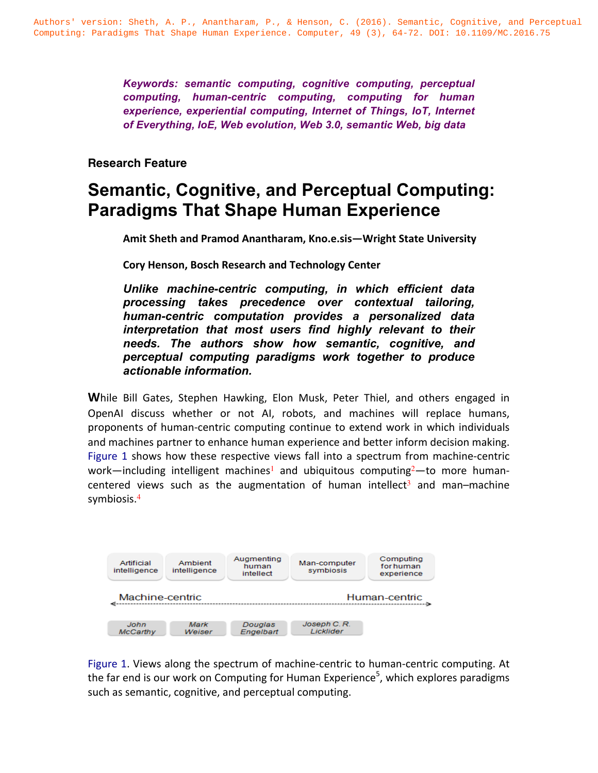*Keywords: semantic computing, cognitive computing, perceptual computing, human-centric computing, computing for human experience, experiential computing, Internet of Things, IoT, Internet of Everything, IoE, Web evolution, Web 3.0, semantic Web, big data*

## **Research Feature**

# **Semantic, Cognitive, and Perceptual Computing: Paradigms That Shape Human Experience**

Amit Sheth and Pramod Anantharam, Kno.e.sis—Wright State University

**Cory Henson, Bosch Research and Technology Center**

*Unlike machine-centric computing, in which efficient data processing takes precedence over contextual tailoring, human-centric computation provides a personalized data interpretation that most users find highly relevant to their needs. The authors show how semantic, cognitive, and perceptual computing paradigms work together to produce actionable information.*

**While Bill Gates, Stephen Hawking, Elon Musk, Peter Thiel, and others engaged in** OpenAI discuss whether or not AI, robots, and machines will replace humans, proponents of human-centric computing continue to extend work in which individuals and machines partner to enhance human experience and better inform decision making. Figure 1 shows how these respective views fall into a spectrum from machine-centric work—including intelligent machines<sup>1</sup> and ubiquitous computing<sup>2</sup>—to more humancentered views such as the augmentation of human intellect<sup>3</sup> and man–machine symbiosis.<sup>4</sup>



Figure 1. Views along the spectrum of machine-centric to human-centric computing. At the far end is our work on Computing for Human Experience<sup>5</sup>, which explores paradigms such as semantic, cognitive, and perceptual computing.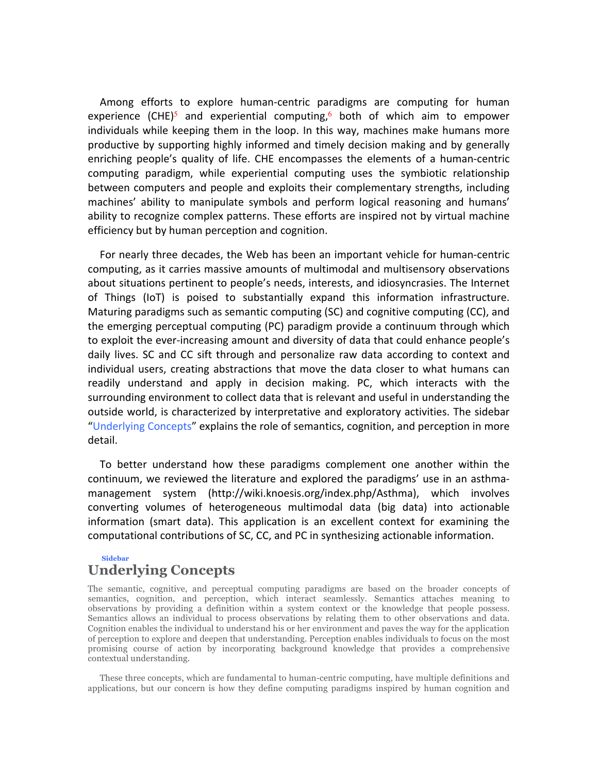Among efforts to explore human-centric paradigms are computing for human experience  $(CHE)^5$  and experiential computing,<sup>6</sup> both of which aim to empower individuals while keeping them in the loop. In this way, machines make humans more productive by supporting highly informed and timely decision making and by generally enriching people's quality of life. CHE encompasses the elements of a human-centric computing paradigm, while experiential computing uses the symbiotic relationship between computers and people and exploits their complementary strengths, including machines' ability to manipulate symbols and perform logical reasoning and humans' ability to recognize complex patterns. These efforts are inspired not by virtual machine efficiency but by human perception and cognition.

For nearly three decades, the Web has been an important vehicle for human-centric computing, as it carries massive amounts of multimodal and multisensory observations about situations pertinent to people's needs, interests, and idiosyncrasies. The Internet of Things (IoT) is poised to substantially expand this information infrastructure. Maturing paradigms such as semantic computing (SC) and cognitive computing (CC), and the emerging perceptual computing (PC) paradigm provide a continuum through which to exploit the ever-increasing amount and diversity of data that could enhance people's daily lives. SC and CC sift through and personalize raw data according to context and individual users, creating abstractions that move the data closer to what humans can readily understand and apply in decision making. PC, which interacts with the surrounding environment to collect data that is relevant and useful in understanding the outside world, is characterized by interpretative and exploratory activities. The sidebar "Underlying Concepts" explains the role of semantics, cognition, and perception in more detail.

To better understand how these paradigms complement one another within the continuum, we reviewed the literature and explored the paradigms' use in an asthmamanagement system (http://wiki.knoesis.org/index.php/Asthma), which involves converting volumes of heterogeneous multimodal data (big data) into actionable information (smart data). This application is an excellent context for examining the computational contributions of SC, CC, and PC in synthesizing actionable information.

#### **Sidebar**

# **Underlying Concepts**

The semantic, cognitive, and perceptual computing paradigms are based on the broader concepts of semantics, cognition, and perception, which interact seamlessly. Semantics attaches meaning to observations by providing a definition within a system context or the knowledge that people possess. Semantics allows an individual to process observations by relating them to other observations and data. Cognition enables the individual to understand his or her environment and paves the way for the application of perception to explore and deepen that understanding. Perception enables individuals to focus on the most promising course of action by incorporating background knowledge that provides a comprehensive contextual understanding.

These three concepts, which are fundamental to human-centric computing, have multiple definitions and applications, but our concern is how they define computing paradigms inspired by human cognition and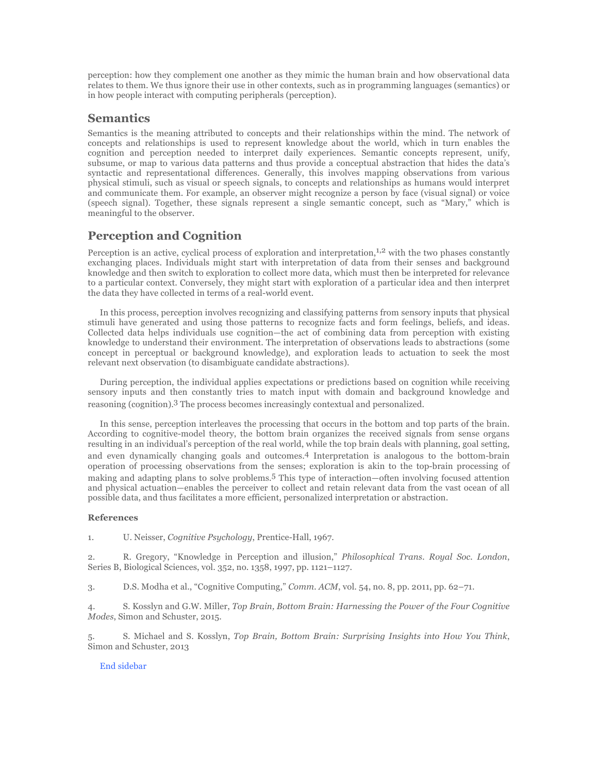perception: how they complement one another as they mimic the human brain and how observational data relates to them. We thus ignore their use in other contexts, such as in programming languages (semantics) or in how people interact with computing peripherals (perception).

### **Semantics**

Semantics is the meaning attributed to concepts and their relationships within the mind. The network of concepts and relationships is used to represent knowledge about the world, which in turn enables the cognition and perception needed to interpret daily experiences. Semantic concepts represent, unify, subsume, or map to various data patterns and thus provide a conceptual abstraction that hides the data's syntactic and representational differences. Generally, this involves mapping observations from various physical stimuli, such as visual or speech signals, to concepts and relationships as humans would interpret and communicate them. For example, an observer might recognize a person by face (visual signal) or voice (speech signal). Together, these signals represent a single semantic concept, such as "Mary," which is meaningful to the observer.

### **Perception and Cognition**

Perception is an active, cyclical process of exploration and interpretation, $1,2$  with the two phases constantly exchanging places. Individuals might start with interpretation of data from their senses and background knowledge and then switch to exploration to collect more data, which must then be interpreted for relevance to a particular context. Conversely, they might start with exploration of a particular idea and then interpret the data they have collected in terms of a real-world event.

In this process, perception involves recognizing and classifying patterns from sensory inputs that physical stimuli have generated and using those patterns to recognize facts and form feelings, beliefs, and ideas. Collected data helps individuals use cognition—the act of combining data from perception with existing knowledge to understand their environment. The interpretation of observations leads to abstractions (some concept in perceptual or background knowledge), and exploration leads to actuation to seek the most relevant next observation (to disambiguate candidate abstractions).

During perception, the individual applies expectations or predictions based on cognition while receiving sensory inputs and then constantly tries to match input with domain and background knowledge and reasoning (cognition).3 The process becomes increasingly contextual and personalized.

In this sense, perception interleaves the processing that occurs in the bottom and top parts of the brain. According to cognitive-model theory, the bottom brain organizes the received signals from sense organs resulting in an individual's perception of the real world, while the top brain deals with planning, goal setting, and even dynamically changing goals and outcomes.4 Interpretation is analogous to the bottom-brain operation of processing observations from the senses; exploration is akin to the top-brain processing of making and adapting plans to solve problems.5 This type of interaction—often involving focused attention and physical actuation—enables the perceiver to collect and retain relevant data from the vast ocean of all possible data, and thus facilitates a more efficient, personalized interpretation or abstraction.

#### **References**

1. U. Neisser, *Cognitive Psychology*, Prentice-Hall, 1967.

2. R. Gregory, "Knowledge in Perception and illusion," *Philosophical Trans. Royal Soc. London*, Series B, Biological Sciences, vol. 352, no. 1358, 1997, pp. 1121–1127.

3. D.S. Modha et al., "Cognitive Computing," *Comm. ACM*, vol. 54, no. 8, pp. 2011, pp. 62–71.

4. S. Kosslyn and G.W. Miller, *Top Brain, Bottom Brain: Harnessing the Power of the Four Cognitive Modes*, Simon and Schuster, 2015.

5. S. Michael and S. Kosslyn, *Top Brain, Bottom Brain: Surprising Insights into How You Think*, Simon and Schuster, 2013

#### End sidebar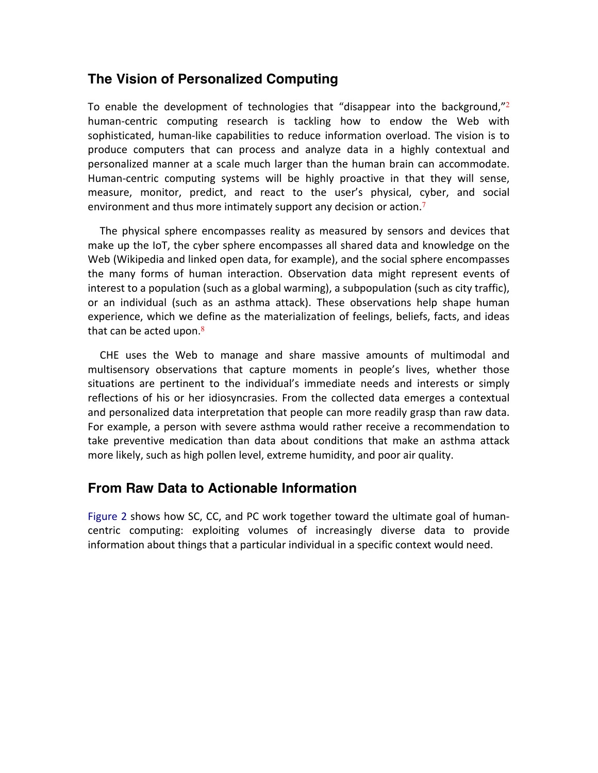# **The Vision of Personalized Computing**

To enable the development of technologies that "disappear into the background,"<sup>2</sup> human-centric computing research is tackling how to endow the Web with sophisticated, human-like capabilities to reduce information overload. The vision is to produce computers that can process and analyze data in a highly contextual and personalized manner at a scale much larger than the human brain can accommodate. Human-centric computing systems will be highly proactive in that they will sense, measure, monitor, predict, and react to the user's physical, cyber, and social environment and thus more intimately support any decision or action.<sup>7</sup>

The physical sphere encompasses reality as measured by sensors and devices that make up the IoT, the cyber sphere encompasses all shared data and knowledge on the Web (Wikipedia and linked open data, for example), and the social sphere encompasses the many forms of human interaction. Observation data might represent events of interest to a population (such as a global warming), a subpopulation (such as city traffic), or an individual (such as an asthma attack). These observations help shape human experience, which we define as the materialization of feelings, beliefs, facts, and ideas that can be acted upon.<sup>8</sup>

CHE uses the Web to manage and share massive amounts of multimodal and multisensory observations that capture moments in people's lives, whether those situations are pertinent to the individual's immediate needs and interests or simply reflections of his or her idiosyncrasies. From the collected data emerges a contextual and personalized data interpretation that people can more readily grasp than raw data. For example, a person with severe asthma would rather receive a recommendation to take preventive medication than data about conditions that make an asthma attack more likely, such as high pollen level, extreme humidity, and poor air quality.

# **From Raw Data to Actionable Information**

Figure 2 shows how SC, CC, and PC work together toward the ultimate goal of humancentric computing: exploiting volumes of increasingly diverse data to provide information about things that a particular individual in a specific context would need.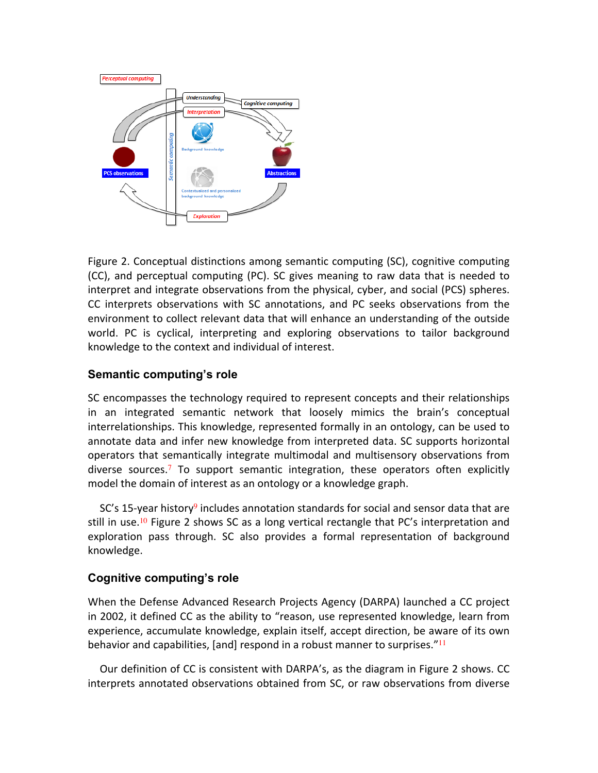

Figure 2. Conceptual distinctions among semantic computing (SC), cognitive computing (CC), and perceptual computing (PC). SC gives meaning to raw data that is needed to interpret and integrate observations from the physical, cyber, and social (PCS) spheres. CC interprets observations with SC annotations, and PC seeks observations from the environment to collect relevant data that will enhance an understanding of the outside world. PC is cyclical, interpreting and exploring observations to tailor background knowledge to the context and individual of interest.

# **Semantic computing's role**

SC encompasses the technology required to represent concepts and their relationships in an integrated semantic network that loosely mimics the brain's conceptual interrelationships. This knowledge, represented formally in an ontology, can be used to annotate data and infer new knowledge from interpreted data. SC supports horizontal operators that semantically integrate multimodal and multisensory observations from diverse sources.<sup>7</sup> To support semantic integration, these operators often explicitly model the domain of interest as an ontology or a knowledge graph.

 $SC's$  15-year history<sup>9</sup> includes annotation standards for social and sensor data that are still in use.<sup>10</sup> Figure 2 shows SC as a long vertical rectangle that PC's interpretation and exploration pass through. SC also provides a formal representation of background knowledge.

# **Cognitive computing's role**

When the Defense Advanced Research Projects Agency (DARPA) launched a CC project in 2002, it defined CC as the ability to "reason, use represented knowledge, learn from experience, accumulate knowledge, explain itself, accept direction, be aware of its own behavior and capabilities, [and] respond in a robust manner to surprises."<sup>11</sup>

Our definition of CC is consistent with DARPA's, as the diagram in Figure 2 shows. CC interprets annotated observations obtained from SC, or raw observations from diverse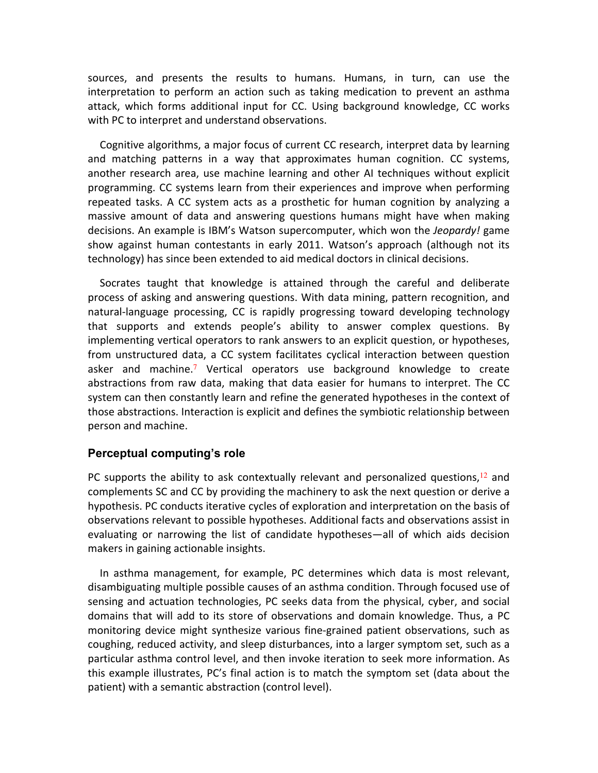sources, and presents the results to humans. Humans, in turn, can use the interpretation to perform an action such as taking medication to prevent an asthma attack, which forms additional input for CC. Using background knowledge, CC works with PC to interpret and understand observations.

Cognitive algorithms, a major focus of current CC research, interpret data by learning and matching patterns in a way that approximates human cognition. CC systems, another research area, use machine learning and other AI techniques without explicit programming. CC systems learn from their experiences and improve when performing repeated tasks. A CC system acts as a prosthetic for human cognition by analyzing a massive amount of data and answering questions humans might have when making decisions. An example is IBM's Watson supercomputer, which won the *Jeopardy!* game show against human contestants in early 2011. Watson's approach (although not its technology) has since been extended to aid medical doctors in clinical decisions.

Socrates taught that knowledge is attained through the careful and deliberate process of asking and answering questions. With data mining, pattern recognition, and natural-language processing, CC is rapidly progressing toward developing technology that supports and extends people's ability to answer complex questions. By implementing vertical operators to rank answers to an explicit question, or hypotheses, from unstructured data, a CC system facilitates cyclical interaction between question asker and machine.<sup>7</sup> Vertical operators use background knowledge to create abstractions from raw data, making that data easier for humans to interpret. The CC system can then constantly learn and refine the generated hypotheses in the context of those abstractions. Interaction is explicit and defines the symbiotic relationship between person and machine.

### **Perceptual computing's role**

PC supports the ability to ask contextually relevant and personalized questions, $^{12}$  and complements SC and CC by providing the machinery to ask the next question or derive a hypothesis. PC conducts iterative cycles of exploration and interpretation on the basis of observations relevant to possible hypotheses. Additional facts and observations assist in evaluating or narrowing the list of candidate hypotheses—all of which aids decision makers in gaining actionable insights.

In asthma management, for example, PC determines which data is most relevant, disambiguating multiple possible causes of an asthma condition. Through focused use of sensing and actuation technologies, PC seeks data from the physical, cyber, and social domains that will add to its store of observations and domain knowledge. Thus, a PC monitoring device might synthesize various fine-grained patient observations, such as coughing, reduced activity, and sleep disturbances, into a larger symptom set, such as a particular asthma control level, and then invoke iteration to seek more information. As this example illustrates, PC's final action is to match the symptom set (data about the patient) with a semantic abstraction (control level).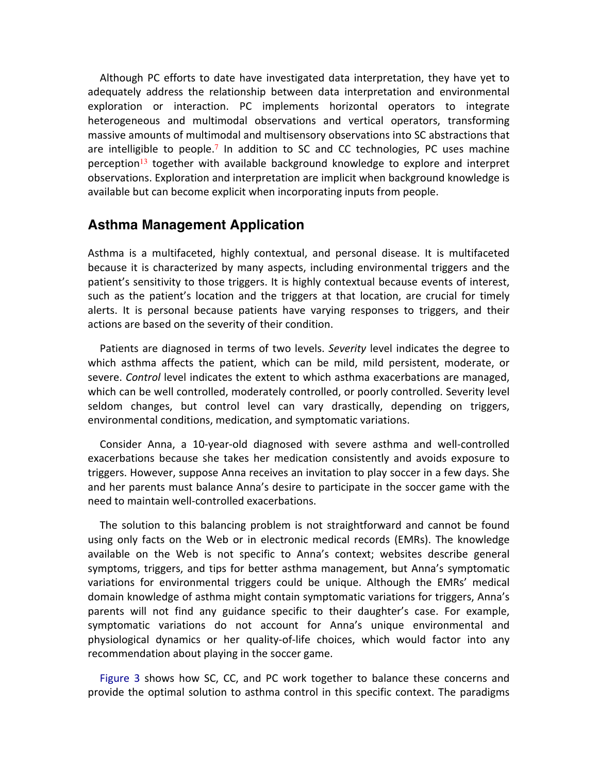Although PC efforts to date have investigated data interpretation, they have yet to adequately address the relationship between data interpretation and environmental exploration or interaction. PC implements horizontal operators to integrate heterogeneous and multimodal observations and vertical operators, transforming massive amounts of multimodal and multisensory observations into SC abstractions that are intelligible to people.<sup>7</sup> In addition to SC and CC technologies, PC uses machine perception<sup>13</sup> together with available background knowledge to explore and interpret observations. Exploration and interpretation are implicit when background knowledge is available but can become explicit when incorporating inputs from people.

# **Asthma Management Application**

Asthma is a multifaceted, highly contextual, and personal disease. It is multifaceted because it is characterized by many aspects, including environmental triggers and the patient's sensitivity to those triggers. It is highly contextual because events of interest, such as the patient's location and the triggers at that location, are crucial for timely alerts. It is personal because patients have varying responses to triggers, and their actions are based on the severity of their condition.

Patients are diagnosed in terms of two levels. Severity level indicates the degree to which asthma affects the patient, which can be mild, mild persistent, moderate, or severe. *Control* level indicates the extent to which asthma exacerbations are managed, which can be well controlled, moderately controlled, or poorly controlled. Severity level seldom changes, but control level can vary drastically, depending on triggers, environmental conditions, medication, and symptomatic variations.

Consider Anna, a 10-year-old diagnosed with severe asthma and well-controlled exacerbations because she takes her medication consistently and avoids exposure to triggers. However, suppose Anna receives an invitation to play soccer in a few days. She and her parents must balance Anna's desire to participate in the soccer game with the need to maintain well-controlled exacerbations.

The solution to this balancing problem is not straightforward and cannot be found using only facts on the Web or in electronic medical records (EMRs). The knowledge available on the Web is not specific to Anna's context; websites describe general symptoms, triggers, and tips for better asthma management, but Anna's symptomatic variations for environmental triggers could be unique. Although the EMRs' medical domain knowledge of asthma might contain symptomatic variations for triggers, Anna's parents will not find any guidance specific to their daughter's case. For example, symptomatic variations do not account for Anna's unique environmental and physiological dynamics or her quality-of-life choices, which would factor into any recommendation about playing in the soccer game.

Figure 3 shows how SC, CC, and PC work together to balance these concerns and provide the optimal solution to asthma control in this specific context. The paradigms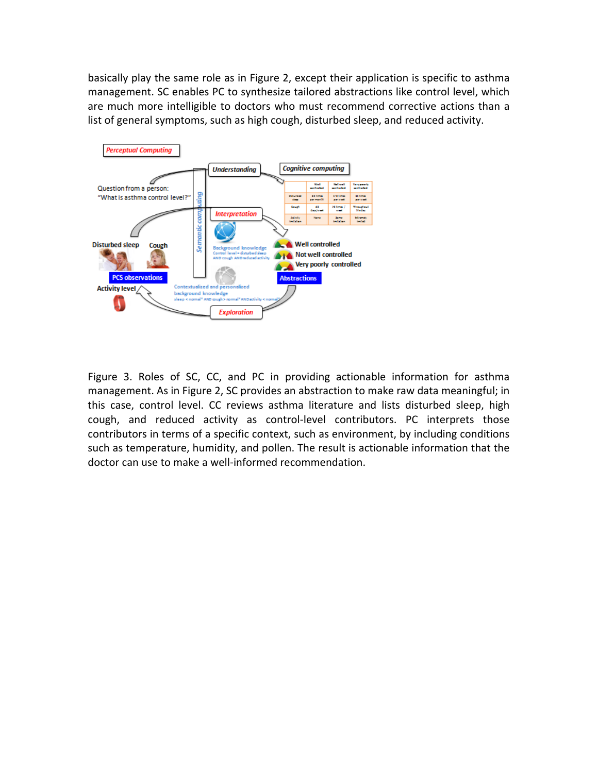basically play the same role as in Figure 2, except their application is specific to asthma management. SC enables PC to synthesize tailored abstractions like control level, which are much more intelligible to doctors who must recommend corrective actions than a list of general symptoms, such as high cough, disturbed sleep, and reduced activity.



Figure 3. Roles of SC, CC, and PC in providing actionable information for asthma management. As in Figure 2, SC provides an abstraction to make raw data meaningful; in this case, control level. CC reviews asthma literature and lists disturbed sleep, high cough, and reduced activity as control-level contributors. PC interprets those contributors in terms of a specific context, such as environment, by including conditions such as temperature, humidity, and pollen. The result is actionable information that the doctor can use to make a well-informed recommendation.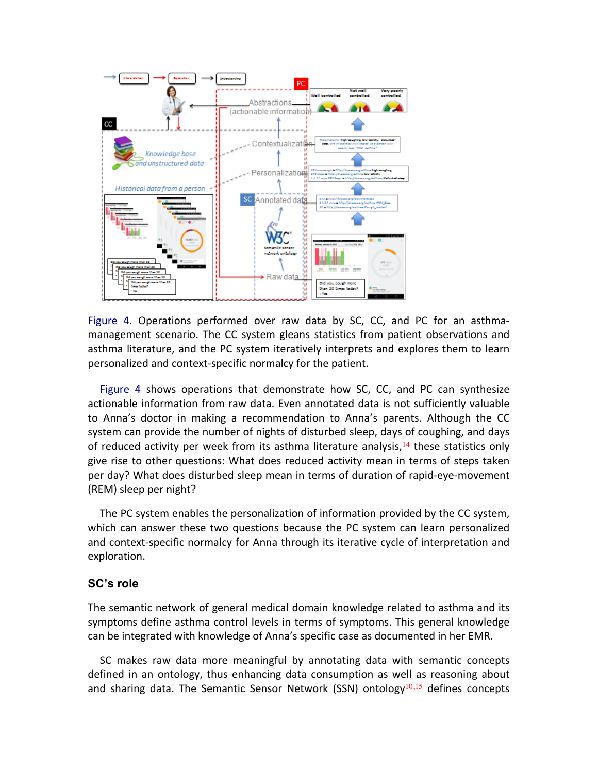

Figure 4. Operations performed over raw data by SC, CC, and PC for an asthmamanagement scenario. The CC system gleans statistics from patient observations and asthma literature, and the PC system iteratively interprets and explores them to learn personalized and context-specific normalcy for the patient.

Figure 4 shows operations that demonstrate how  $SC$ ,  $CC$ , and  $PC$  can synthesize actionable information from raw data. Even annotated data is not sufficiently valuable to Anna's doctor in making a recommendation to Anna's parents. Although the CC system can provide the number of nights of disturbed sleep, days of coughing, and days of reduced activity per week from its asthma literature analysis,<sup>14</sup> these statistics only give rise to other questions: What does reduced activity mean in terms of steps taken per day? What does disturbed sleep mean in terms of duration of rapid-eye-movement (REM) sleep per night?

The PC system enables the personalization of information provided by the CC system, which can answer these two questions because the PC system can learn personalized and context-specific normalcy for Anna through its iterative cycle of interpretation and exploration. 

### **SC's role**

The semantic network of general medical domain knowledge related to asthma and its symptoms define asthma control levels in terms of symptoms. This general knowledge can be integrated with knowledge of Anna's specific case as documented in her EMR.

SC makes raw data more meaningful by annotating data with semantic concepts defined in an ontology, thus enhancing data consumption as well as reasoning about and sharing data. The Semantic Sensor Network (SSN) ontology<sup>10,15</sup> defines concepts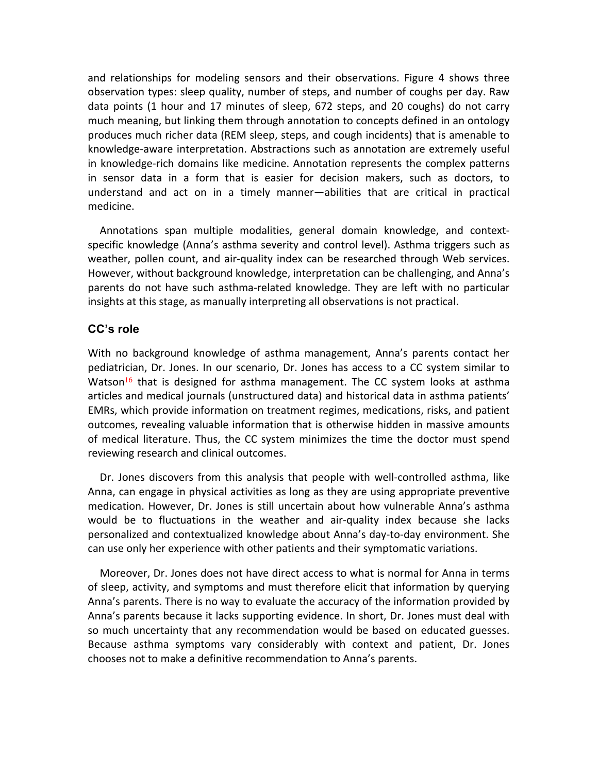and relationships for modeling sensors and their observations. Figure 4 shows three observation types: sleep quality, number of steps, and number of coughs per day. Raw data points (1 hour and 17 minutes of sleep, 672 steps, and 20 coughs) do not carry much meaning, but linking them through annotation to concepts defined in an ontology produces much richer data (REM sleep, steps, and cough incidents) that is amenable to knowledge-aware interpretation. Abstractions such as annotation are extremely useful in knowledge-rich domains like medicine. Annotation represents the complex patterns in sensor data in a form that is easier for decision makers, such as doctors, to understand and act on in a timely manner—abilities that are critical in practical medicine.

Annotations span multiple modalities, general domain knowledge, and contextspecific knowledge (Anna's asthma severity and control level). Asthma triggers such as weather, pollen count, and air-quality index can be researched through Web services. However, without background knowledge, interpretation can be challenging, and Anna's parents do not have such asthma-related knowledge. They are left with no particular insights at this stage, as manually interpreting all observations is not practical.

# **CC's role**

With no background knowledge of asthma management, Anna's parents contact her pediatrician, Dr. Jones. In our scenario, Dr. Jones has access to a CC system similar to Watson<sup>16</sup> that is designed for asthma management. The CC system looks at asthma articles and medical journals (unstructured data) and historical data in asthma patients' EMRs, which provide information on treatment regimes, medications, risks, and patient outcomes, revealing valuable information that is otherwise hidden in massive amounts of medical literature. Thus, the CC system minimizes the time the doctor must spend reviewing research and clinical outcomes.

Dr. Jones discovers from this analysis that people with well-controlled asthma, like Anna, can engage in physical activities as long as they are using appropriate preventive medication. However, Dr. Jones is still uncertain about how vulnerable Anna's asthma would be to fluctuations in the weather and air-quality index because she lacks personalized and contextualized knowledge about Anna's day-to-day environment. She can use only her experience with other patients and their symptomatic variations.

Moreover, Dr. Jones does not have direct access to what is normal for Anna in terms of sleep, activity, and symptoms and must therefore elicit that information by querying Anna's parents. There is no way to evaluate the accuracy of the information provided by Anna's parents because it lacks supporting evidence. In short, Dr. Jones must deal with so much uncertainty that any recommendation would be based on educated guesses. Because asthma symptoms vary considerably with context and patient, Dr. Jones chooses not to make a definitive recommendation to Anna's parents.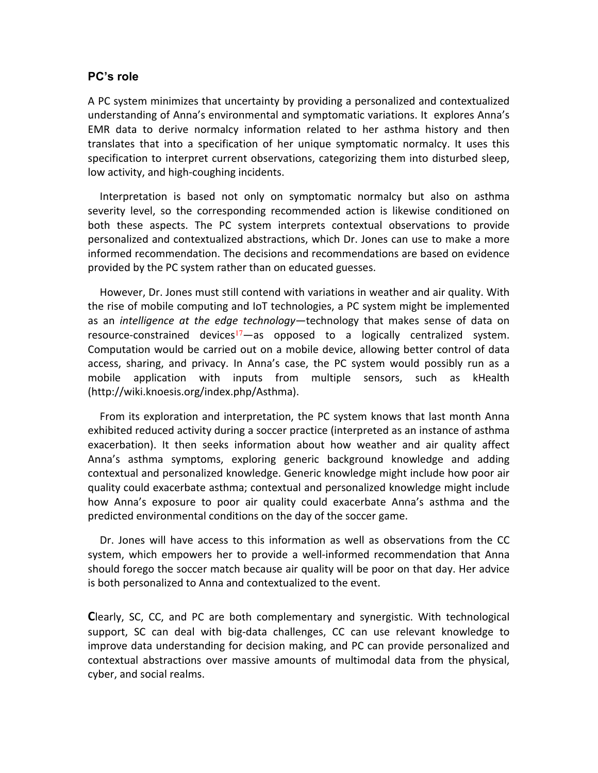### **PC's role**

A PC system minimizes that uncertainty by providing a personalized and contextualized understanding of Anna's environmental and symptomatic variations. It explores Anna's EMR data to derive normalcy information related to her asthma history and then translates that into a specification of her unique symptomatic normalcy. It uses this specification to interpret current observations, categorizing them into disturbed sleep, low activity, and high-coughing incidents.

Interpretation is based not only on symptomatic normalcy but also on asthma severity level, so the corresponding recommended action is likewise conditioned on both these aspects. The PC system interprets contextual observations to provide personalized and contextualized abstractions, which Dr. Jones can use to make a more informed recommendation. The decisions and recommendations are based on evidence provided by the PC system rather than on educated guesses.

However, Dr. Jones must still contend with variations in weather and air quality. With the rise of mobile computing and IoT technologies, a PC system might be implemented as an *intelligence at the edge technology*—technology that makes sense of data on resource-constrained devices<sup>17</sup>—as opposed to a logically centralized system. Computation would be carried out on a mobile device, allowing better control of data access, sharing, and privacy. In Anna's case, the PC system would possibly run as a mobile application with inputs from multiple sensors, such as kHealth (http://wiki.knoesis.org/index.php/Asthma).

From its exploration and interpretation, the PC system knows that last month Anna exhibited reduced activity during a soccer practice (interpreted as an instance of asthma exacerbation). It then seeks information about how weather and air quality affect Anna's asthma symptoms, exploring generic background knowledge and adding contextual and personalized knowledge. Generic knowledge might include how poor air quality could exacerbate asthma; contextual and personalized knowledge might include how Anna's exposure to poor air quality could exacerbate Anna's asthma and the predicted environmental conditions on the day of the soccer game.

Dr. Jones will have access to this information as well as observations from the CC system, which empowers her to provide a well-informed recommendation that Anna should forego the soccer match because air quality will be poor on that day. Her advice is both personalized to Anna and contextualized to the event.

**C**learly, SC, CC, and PC are both complementary and synergistic. With technological support, SC can deal with big-data challenges, CC can use relevant knowledge to improve data understanding for decision making, and PC can provide personalized and contextual abstractions over massive amounts of multimodal data from the physical, cyber, and social realms.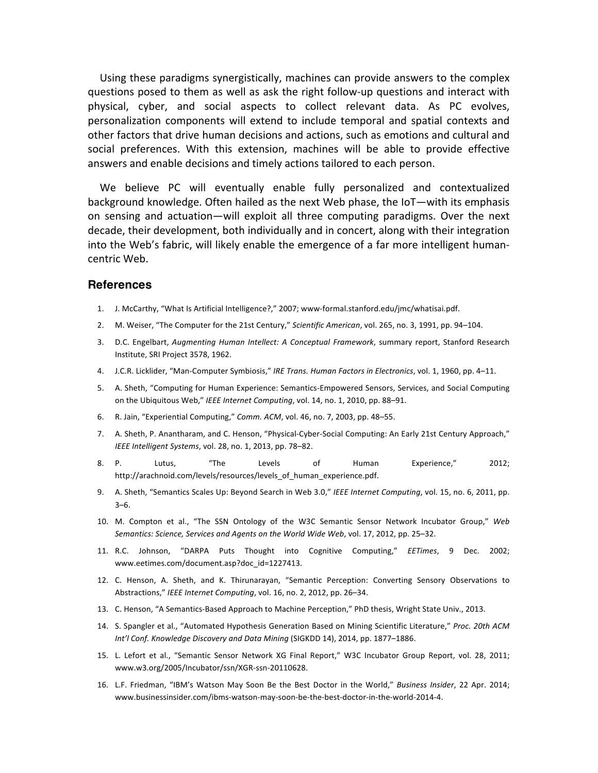Using these paradigms synergistically, machines can provide answers to the complex questions posed to them as well as ask the right follow-up questions and interact with physical, cyber, and social aspects to collect relevant data. As PC evolves, personalization components will extend to include temporal and spatial contexts and other factors that drive human decisions and actions, such as emotions and cultural and social preferences. With this extension, machines will be able to provide effective answers and enable decisions and timely actions tailored to each person.

We believe PC will eventually enable fully personalized and contextualized background knowledge. Often hailed as the next Web phase, the IoT—with its emphasis on sensing and actuation—will exploit all three computing paradigms. Over the next decade, their development, both individually and in concert, along with their integration into the Web's fabric, will likely enable the emergence of a far more intelligent humancentric Web.

#### **References**

- 1. J. McCarthy, "What Is Artificial Intelligence?," 2007; www-formal.stanford.edu/jmc/whatisai.pdf.
- 2. M. Weiser, "The Computer for the 21st Century," Scientific American, vol. 265, no. 3, 1991, pp. 94-104.
- 3. D.C. Engelbart, *Augmenting Human Intellect: A Conceptual Framework*, summary report, Stanford Research Institute, SRI Project 3578, 1962.
- 4. J.C.R. Licklider, "Man-Computer Symbiosis," IRE Trans. Human Factors in Electronics, vol. 1, 1960, pp. 4–11.
- 5. A. Sheth, "Computing for Human Experience: Semantics-Empowered Sensors, Services, and Social Computing on the Ubiquitous Web," IEEE Internet Computing, vol. 14, no. 1, 2010, pp. 88-91.
- 6. R. Jain, "Experiential Computing," *Comm. ACM*, vol. 46, no. 7, 2003, pp. 48–55.
- 7. A. Sheth, P. Anantharam, and C. Henson, "Physical-Cyber-Social Computing: An Early 21st Century Approach," *IEEE Intelligent Systems, vol.* 28, no. 1, 2013, pp. 78-82.
- 8. P. Lutus, "The Levels of Human Experience," 2012; http://arachnoid.com/levels/resources/levels\_of\_human\_experience.pdf.
- 9. A. Sheth, "Semantics Scales Up: Beyond Search in Web 3.0," *IEEE Internet Computing*, vol. 15, no. 6, 2011, pp. 3–6.
- 10. M. Compton et al., "The SSN Ontology of the W3C Semantic Sensor Network Incubator Group," Web Semantics: Science, Services and Agents on the World Wide Web, vol. 17, 2012, pp. 25–32.
- 11. R.C. Johnson, "DARPA Puts Thought into Cognitive Computing," *EETimes*, 9 Dec. 2002; www.eetimes.com/document.asp?doc\_id=1227413.
- 12. C. Henson, A. Sheth, and K. Thirunarayan, "Semantic Perception: Converting Sensory Observations to Abstractions," *IEEE Internet Computing*, vol. 16, no. 2, 2012, pp. 26–34.
- 13. C. Henson, "A Semantics-Based Approach to Machine Perception," PhD thesis, Wright State Univ., 2013.
- 14. S. Spangler et al., "Automated Hypothesis Generation Based on Mining Scientific Literature," Proc. 20th ACM Int'l Conf. Knowledge Discovery and Data Mining (SIGKDD 14), 2014, pp. 1877-1886.
- 15. L. Lefort et al., "Semantic Sensor Network XG Final Report," W3C Incubator Group Report, vol. 28, 2011; www.w3.org/2005/Incubator/ssn/XGR-ssn-20110628.
- 16. L.F. Friedman, "IBM's Watson May Soon Be the Best Doctor in the World," *Business Insider*, 22 Apr. 2014; www.businessinsider.com/ibms-watson-may-soon-be-the-best-doctor-in-the-world-2014-4.